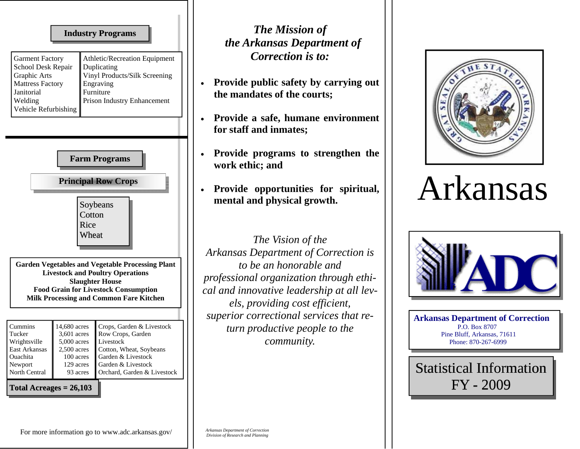| <b>Industry Programs</b><br><b>Garment Factory</b><br>Athletic/Recreation Equipment<br>School Desk Repair<br>Duplicating<br>Vinyl Products/Silk Screening<br>Graphic Arts<br><b>Mattress Factory</b><br>Engraving<br>Furniture<br>Janitorial<br>Prison Industry Enhancement<br>Welding<br>Vehicle Refurbishing                                                                                                                                                                                                                                                                                                                                                                                                                  | <b>The Mission of</b><br>the Arkansas Department of<br>Correction is to:<br>Provide public safety by carrying out<br>the mandates of the courts;                                                                                                                                                                                                                                                                                                                                                               |
|---------------------------------------------------------------------------------------------------------------------------------------------------------------------------------------------------------------------------------------------------------------------------------------------------------------------------------------------------------------------------------------------------------------------------------------------------------------------------------------------------------------------------------------------------------------------------------------------------------------------------------------------------------------------------------------------------------------------------------|----------------------------------------------------------------------------------------------------------------------------------------------------------------------------------------------------------------------------------------------------------------------------------------------------------------------------------------------------------------------------------------------------------------------------------------------------------------------------------------------------------------|
| <b>Farm Programs</b><br><b>Principal Row Crops</b><br>Soybeans<br>Cotton<br>Rice<br>Wheat<br><b>Garden Vegetables and Vegetable Processing Plant</b><br><b>Livestock and Poultry Operations</b><br><b>Slaughter House</b><br><b>Food Grain for Livestock Consumption</b><br><b>Milk Processing and Common Fare Kitchen</b><br>Cummins<br>14,680 acres<br>Crops, Garden & Livestock<br>3,601 acres<br>Row Crops, Garden<br>Tucker<br>Wrightsville<br>$5,000$ acres<br>Livestock<br>East Arkansas<br>2,500 acres<br>Cotton, Wheat, Soybeans<br>100 acres<br>Garden & Livestock<br>Ouachita<br>Garden & Livestock<br>Newport<br>129 acres<br>North Central<br>Orchard, Garden & Livestock<br>93 acres<br>Total Acreages $= 26,103$ | Provide a safe, humane environment<br>for staff and inmates;<br>Provide programs to strengthen the<br>work ethic; and<br>Provide opportunities for spiritual,<br>mental and physical growth.<br>The Vision of the<br>Arkansas Department of Correction is<br>to be an honorable and<br>professional organization through ethi-<br>cal and innovative leadership at all lev-<br>els, providing cost efficient,<br>superior correctional services that re-<br>turn productive people to the<br><i>community.</i> |

## • **Provide opportunities for spiritual, cal growth.**



## Arkansas



**Arkansas Department of Correction**  P.O. Box 8707 Pine Bluff, Arkansas, 71611 Phone: 870-267-6999